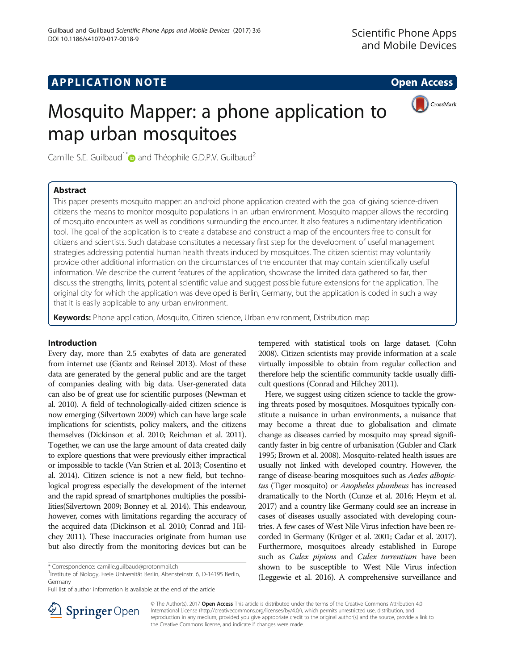# APPLICATION NOTE And the open Access of the open Access of the open Access of the open Access of the open Access



# Mosquito Mapper: a phone application to map urban mosquitoes

Camille S.E. Guilbaud<sup>1[\\*](http://orcid.org/0000-0001-5670-9922)</sup> and Théophile G.D.P.V. Guilbaud<sup>2</sup>

# Abstract

This paper presents mosquito mapper: an android phone application created with the goal of giving science-driven citizens the means to monitor mosquito populations in an urban environment. Mosquito mapper allows the recording of mosquito encounters as well as conditions surrounding the encounter. It also features a rudimentary identification tool. The goal of the application is to create a database and construct a map of the encounters free to consult for citizens and scientists. Such database constitutes a necessary first step for the development of useful management strategies addressing potential human health threats induced by mosquitoes. The citizen scientist may voluntarily provide other additional information on the circumstances of the encounter that may contain scientifically useful information. We describe the current features of the application, showcase the limited data gathered so far, then discuss the strengths, limits, potential scientific value and suggest possible future extensions for the application. The original city for which the application was developed is Berlin, Germany, but the application is coded in such a way that it is easily applicable to any urban environment.

Keywords: Phone application, Mosquito, Citizen science, Urban environment, Distribution map

# Introduction

Every day, more than 2.5 exabytes of data are generated from internet use (Gantz and Reinsel [2013](#page-5-0)). Most of these data are generated by the general public and are the target of companies dealing with big data. User-generated data can also be of great use for scientific purposes (Newman et al. [2010\)](#page-5-0). A field of technologically-aided citizen science is now emerging (Silvertown [2009](#page-5-0)) which can have large scale implications for scientists, policy makers, and the citizens themselves (Dickinson et al. [2010](#page-5-0); Reichman et al. [2011](#page-5-0)). Together, we can use the large amount of data created daily to explore questions that were previously either impractical or impossible to tackle (Van Strien et al. [2013;](#page-5-0) Cosentino et al. [2014\)](#page-5-0). Citizen science is not a new field, but technological progress especially the development of the internet and the rapid spread of smartphones multiplies the possibilities(Silvertown [2009;](#page-5-0) Bonney et al. [2014\)](#page-5-0). This endeavour, however, comes with limitations regarding the accuracy of the acquired data (Dickinson et al. [2010](#page-5-0); Conrad and Hilchey [2011](#page-5-0)). These inaccuracies originate from human use but also directly from the monitoring devices but can be

<sup>1</sup>Institute of Biology, Freie Universität Berlin, Altensteinstr. 6, D-14195 Berlin, Germany

Full list of author information is available at the end of the article

tempered with statistical tools on large dataset. (Cohn [2008\)](#page-5-0). Citizen scientists may provide information at a scale virtually impossible to obtain from regular collection and therefore help the scientific community tackle usually difficult questions (Conrad and Hilchey [2011](#page-5-0)).

Here, we suggest using citizen science to tackle the growing threats posed by mosquitoes. Mosquitoes typically constitute a nuisance in urban environments, a nuisance that may become a threat due to globalisation and climate change as diseases carried by mosquito may spread significantly faster in big centre of urbanisation (Gubler and Clark [1995;](#page-5-0) Brown et al. [2008\)](#page-5-0). Mosquito-related health issues are usually not linked with developed country. However, the range of disease-bearing mosquitoes such as Aedes albopictus (Tiger mosquito) or Anopheles plumbeus has increased dramatically to the North (Cunze et al. [2016;](#page-5-0) Heym et al. [2017\)](#page-5-0) and a country like Germany could see an increase in cases of diseases usually associated with developing countries. A few cases of West Nile Virus infection have been recorded in Germany (Krüger et al. [2001](#page-5-0); Cadar et al. [2017](#page-5-0)). Furthermore, mosquitoes already established in Europe such as Culex pipiens and Culex torrentium have been shown to be susceptible to West Nile Virus infection (Leggewie et al. [2016\)](#page-5-0). A comprehensive surveillance and



© The Author(s). 2017 Open Access This article is distributed under the terms of the Creative Commons Attribution 4.0 International License ([http://creativecommons.org/licenses/by/4.0/\)](http://creativecommons.org/licenses/by/4.0/), which permits unrestricted use, distribution, and reproduction in any medium, provided you give appropriate credit to the original author(s) and the source, provide a link to the Creative Commons license, and indicate if changes were made.

<sup>\*</sup> Correspondence: [camille.guilbaud@protonmail.ch](mailto:camille.guilbaud@protonmail.ch) <sup>1</sup>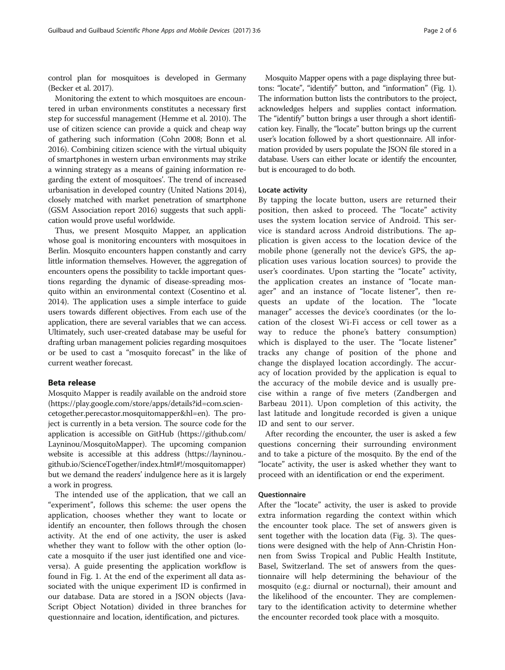control plan for mosquitoes is developed in Germany (Becker et al. [2017\)](#page-5-0).

Monitoring the extent to which mosquitoes are encountered in urban environments constitutes a necessary first step for successful management (Hemme et al. [2010\)](#page-5-0). The use of citizen science can provide a quick and cheap way of gathering such information (Cohn [2008](#page-5-0); Bonn et al. [2016\)](#page-5-0). Combining citizen science with the virtual ubiquity of smartphones in western urban environments may strike a winning strategy as a means of gaining information regarding the extent of mosquitoes'. The trend of increased urbanisation in developed country (United Nations [2014](#page-5-0)), closely matched with market penetration of smartphone (GSM Association report [2016](#page-5-0)) suggests that such application would prove useful worldwide.

Thus, we present Mosquito Mapper, an application whose goal is monitoring encounters with mosquitoes in Berlin. Mosquito encounters happen constantly and carry little information themselves. However, the aggregation of encounters opens the possibility to tackle important questions regarding the dynamic of disease-spreading mosquito within an environmental context (Cosentino et al. [2014\)](#page-5-0). The application uses a simple interface to guide users towards different objectives. From each use of the application, there are several variables that we can access. Ultimately, such user-created database may be useful for drafting urban management policies regarding mosquitoes or be used to cast a "mosquito forecast" in the like of current weather forecast.

# Beta release

Mosquito Mapper is readily available on the android store ([https://play.google.com/store/apps/details?id=com.scien](https://play.google.com/store/apps/details?id=com.sciencetogether.perecastor.mosquitomapper&hl=en)[cetogether.perecastor.mosquitomapper&hl=en](https://play.google.com/store/apps/details?id=com.sciencetogether.perecastor.mosquitomapper&hl=en)). The project is currently in a beta version. The source code for the application is accessible on GitHub [\(https://github.com/](https://github.com/Layninou/MosquitoMapper) [Layninou/MosquitoMapper\)](https://github.com/Layninou/MosquitoMapper). The upcoming companion website is accessible at this address [\(https://layninou.](https://layninou.github.io/ScienceTogether/index.html#!/mosquitomapper) [github.io/ScienceTogether/index.html#!/mosquitomapper\)](https://layninou.github.io/ScienceTogether/index.html#!/mosquitomapper) but we demand the readers' indulgence here as it is largely a work in progress.

The intended use of the application, that we call an "experiment", follows this scheme: the user opens the application, chooses whether they want to locate or identify an encounter, then follows through the chosen activity. At the end of one activity, the user is asked whether they want to follow with the other option (locate a mosquito if the user just identified one and viceversa). A guide presenting the application workflow is found in Fig. [1](#page-2-0). At the end of the experiment all data associated with the unique experiment ID is confirmed in our database. Data are stored in a JSON objects (Java-Script Object Notation) divided in three branches for questionnaire and location, identification, and pictures.

Mosquito Mapper opens with a page displaying three buttons: "locate", "identify" button, and "information" (Fig. [1](#page-2-0)). The information button lists the contributors to the project, acknowledges helpers and supplies contact information. The "identify" button brings a user through a short identification key. Finally, the "locate" button brings up the current user's location followed by a short questionnaire. All information provided by users populate the JSON file stored in a database. Users can either locate or identify the encounter, but is encouraged to do both.

## Locate activity

By tapping the locate button, users are returned their position, then asked to proceed. The "locate" activity uses the system location service of Android. This service is standard across Android distributions. The application is given access to the location device of the mobile phone (generally not the device's GPS, the application uses various location sources) to provide the user's coordinates. Upon starting the "locate" activity, the application creates an instance of "locate manager" and an instance of "locate listener", then requests an update of the location. The "locate manager" accesses the device's coordinates (or the location of the closest Wi-Fi access or cell tower as a way to reduce the phone's battery consumption) which is displayed to the user. The "locate listener" tracks any change of position of the phone and change the displayed location accordingly. The accuracy of location provided by the application is equal to the accuracy of the mobile device and is usually precise within a range of five meters (Zandbergen and Barbeau [2011\)](#page-5-0). Upon completion of this activity, the last latitude and longitude recorded is given a unique ID and sent to our server.

After recording the encounter, the user is asked a few questions concerning their surrounding environment and to take a picture of the mosquito. By the end of the "locate" activity, the user is asked whether they want to proceed with an identification or end the experiment.

## Questionnaire

After the "locate" activity, the user is asked to provide extra information regarding the context within which the encounter took place. The set of answers given is sent together with the location data (Fig. [3\)](#page-3-0). The questions were designed with the help of Ann-Christin Honnen from Swiss Tropical and Public Health Institute, Basel, Switzerland. The set of answers from the questionnaire will help determining the behaviour of the mosquito (e.g.: diurnal or nocturnal), their amount and the likelihood of the encounter. They are complementary to the identification activity to determine whether the encounter recorded took place with a mosquito.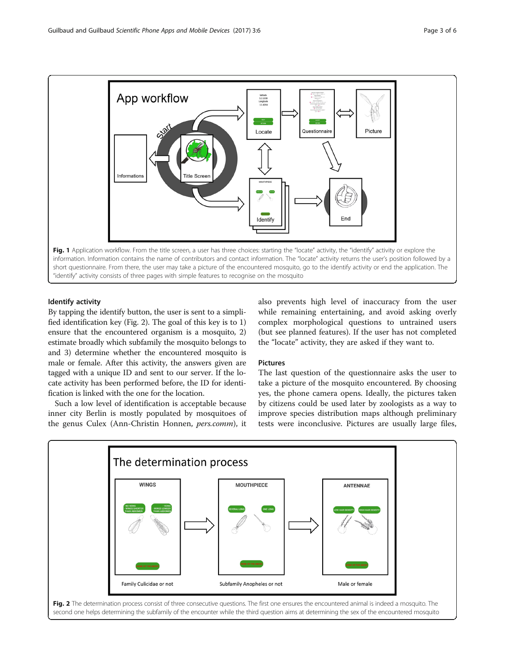<span id="page-2-0"></span>

# Identify activity

By tapping the identify button, the user is sent to a simplified identification key (Fig. 2). The goal of this key is to 1) ensure that the encountered organism is a mosquito, 2) estimate broadly which subfamily the mosquito belongs to and 3) determine whether the encountered mosquito is male or female. After this activity, the answers given are tagged with a unique ID and sent to our server. If the locate activity has been performed before, the ID for identification is linked with the one for the location.

Such a low level of identification is acceptable because inner city Berlin is mostly populated by mosquitoes of the genus Culex (Ann-Christin Honnen, pers.comm), it also prevents high level of inaccuracy from the user while remaining entertaining, and avoid asking overly complex morphological questions to untrained users (but see planned features). If the user has not completed the "locate" activity, they are asked if they want to.

# **Pictures**

The last question of the questionnaire asks the user to take a picture of the mosquito encountered. By choosing yes, the phone camera opens. Ideally, the pictures taken by citizens could be used later by zoologists as a way to improve species distribution maps although preliminary tests were inconclusive. Pictures are usually large files,



second one helps determining the subfamily of the encounter while the third question aims at determining the sex of the encountered mosquito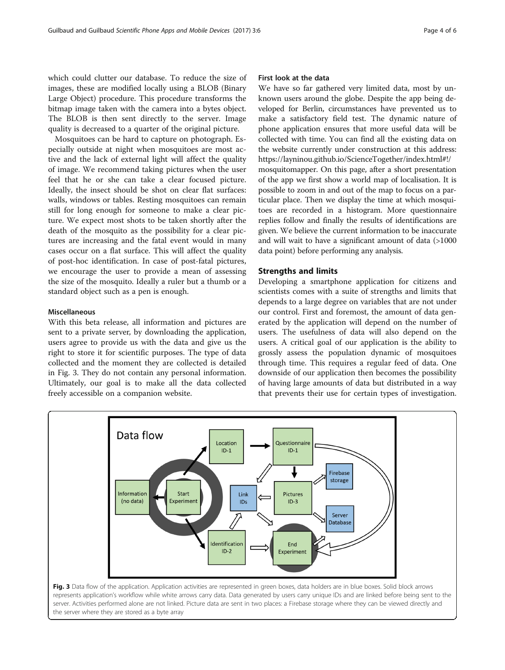<span id="page-3-0"></span>which could clutter our database. To reduce the size of images, these are modified locally using a BLOB (Binary Large Object) procedure. This procedure transforms the bitmap image taken with the camera into a bytes object. The BLOB is then sent directly to the server. Image quality is decreased to a quarter of the original picture.

Mosquitoes can be hard to capture on photograph. Especially outside at night when mosquitoes are most active and the lack of external light will affect the quality of image. We recommend taking pictures when the user feel that he or she can take a clear focused picture. Ideally, the insect should be shot on clear flat surfaces: walls, windows or tables. Resting mosquitoes can remain still for long enough for someone to make a clear picture. We expect most shots to be taken shortly after the death of the mosquito as the possibility for a clear pictures are increasing and the fatal event would in many cases occur on a flat surface. This will affect the quality of post-hoc identification. In case of post-fatal pictures, we encourage the user to provide a mean of assessing the size of the mosquito. Ideally a ruler but a thumb or a standard object such as a pen is enough.

## Miscellaneous

With this beta release, all information and pictures are sent to a private server, by downloading the application, users agree to provide us with the data and give us the right to store it for scientific purposes. The type of data collected and the moment they are collected is detailed in Fig. 3. They do not contain any personal information. Ultimately, our goal is to make all the data collected freely accessible on a companion website.

# First look at the data

We have so far gathered very limited data, most by unknown users around the globe. Despite the app being developed for Berlin, circumstances have prevented us to make a satisfactory field test. The dynamic nature of phone application ensures that more useful data will be collected with time. You can find all the existing data on the website currently under construction at this address: [https://layninou.github.io/ScienceTogether/index.html#!/](https://layninou.github.io/ScienceTogether/index.html#!/mosquitomapper) [mosquitomapper.](https://layninou.github.io/ScienceTogether/index.html#!/mosquitomapper) On this page, after a short presentation of the app we first show a world map of localisation. It is possible to zoom in and out of the map to focus on a particular place. Then we display the time at which mosquitoes are recorded in a histogram. More questionnaire replies follow and finally the results of identifications are given. We believe the current information to be inaccurate and will wait to have a significant amount of data (>1000 data point) before performing any analysis.

#### Strengths and limits

Developing a smartphone application for citizens and scientists comes with a suite of strengths and limits that depends to a large degree on variables that are not under our control. First and foremost, the amount of data generated by the application will depend on the number of users. The usefulness of data will also depend on the users. A critical goal of our application is the ability to grossly assess the population dynamic of mosquitoes through time. This requires a regular feed of data. One downside of our application then becomes the possibility of having large amounts of data but distributed in a way that prevents their use for certain types of investigation.



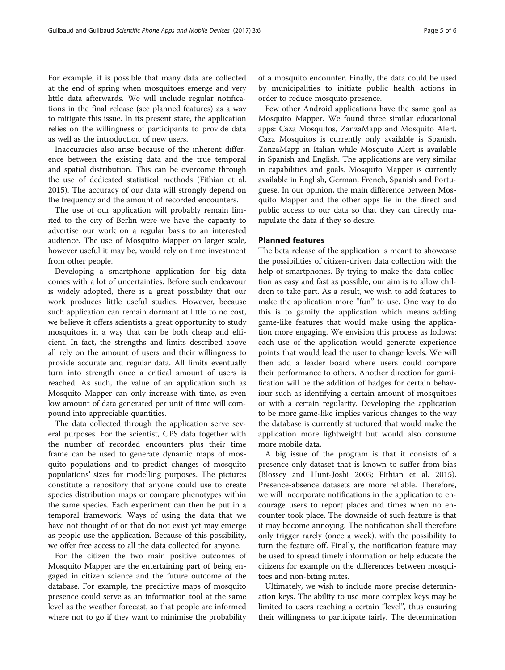For example, it is possible that many data are collected at the end of spring when mosquitoes emerge and very little data afterwards. We will include regular notifications in the final release (see planned features) as a way to mitigate this issue. In its present state, the application relies on the willingness of participants to provide data as well as the introduction of new users.

Inaccuracies also arise because of the inherent difference between the existing data and the true temporal and spatial distribution. This can be overcome through the use of dedicated statistical methods (Fithian et al. [2015](#page-5-0)). The accuracy of our data will strongly depend on the frequency and the amount of recorded encounters.

The use of our application will probably remain limited to the city of Berlin were we have the capacity to advertise our work on a regular basis to an interested audience. The use of Mosquito Mapper on larger scale, however useful it may be, would rely on time investment from other people.

Developing a smartphone application for big data comes with a lot of uncertainties. Before such endeavour is widely adopted, there is a great possibility that our work produces little useful studies. However, because such application can remain dormant at little to no cost, we believe it offers scientists a great opportunity to study mosquitoes in a way that can be both cheap and efficient. In fact, the strengths and limits described above all rely on the amount of users and their willingness to provide accurate and regular data. All limits eventually turn into strength once a critical amount of users is reached. As such, the value of an application such as Mosquito Mapper can only increase with time, as even low amount of data generated per unit of time will compound into appreciable quantities.

The data collected through the application serve several purposes. For the scientist, GPS data together with the number of recorded encounters plus their time frame can be used to generate dynamic maps of mosquito populations and to predict changes of mosquito populations' sizes for modelling purposes. The pictures constitute a repository that anyone could use to create species distribution maps or compare phenotypes within the same species. Each experiment can then be put in a temporal framework. Ways of using the data that we have not thought of or that do not exist yet may emerge as people use the application. Because of this possibility, we offer free access to all the data collected for anyone.

For the citizen the two main positive outcomes of Mosquito Mapper are the entertaining part of being engaged in citizen science and the future outcome of the database. For example, the predictive maps of mosquito presence could serve as an information tool at the same level as the weather forecast, so that people are informed where not to go if they want to minimise the probability

of a mosquito encounter. Finally, the data could be used by municipalities to initiate public health actions in order to reduce mosquito presence.

Few other Android applications have the same goal as Mosquito Mapper. We found three similar educational apps: Caza Mosquitos, ZanzaMapp and Mosquito Alert. Caza Mosquitos is currently only available is Spanish, ZanzaMapp in Italian while Mosquito Alert is available in Spanish and English. The applications are very similar in capabilities and goals. Mosquito Mapper is currently available in English, German, French, Spanish and Portuguese. In our opinion, the main difference between Mosquito Mapper and the other apps lie in the direct and public access to our data so that they can directly manipulate the data if they so desire.

# Planned features

The beta release of the application is meant to showcase the possibilities of citizen-driven data collection with the help of smartphones. By trying to make the data collection as easy and fast as possible, our aim is to allow children to take part. As a result, we wish to add features to make the application more "fun" to use. One way to do this is to gamify the application which means adding game-like features that would make using the application more engaging. We envision this process as follows: each use of the application would generate experience points that would lead the user to change levels. We will then add a leader board where users could compare their performance to others. Another direction for gamification will be the addition of badges for certain behaviour such as identifying a certain amount of mosquitoes or with a certain regularity. Developing the application to be more game-like implies various changes to the way the database is currently structured that would make the application more lightweight but would also consume more mobile data.

A big issue of the program is that it consists of a presence-only dataset that is known to suffer from bias (Blossey and Hunt-Joshi [2003](#page-5-0); Fithian et al. [2015](#page-5-0)). Presence-absence datasets are more reliable. Therefore, we will incorporate notifications in the application to encourage users to report places and times when no encounter took place. The downside of such feature is that it may become annoying. The notification shall therefore only trigger rarely (once a week), with the possibility to turn the feature off. Finally, the notification feature may be used to spread timely information or help educate the citizens for example on the differences between mosquitoes and non-biting mites.

Ultimately, we wish to include more precise determination keys. The ability to use more complex keys may be limited to users reaching a certain "level", thus ensuring their willingness to participate fairly. The determination